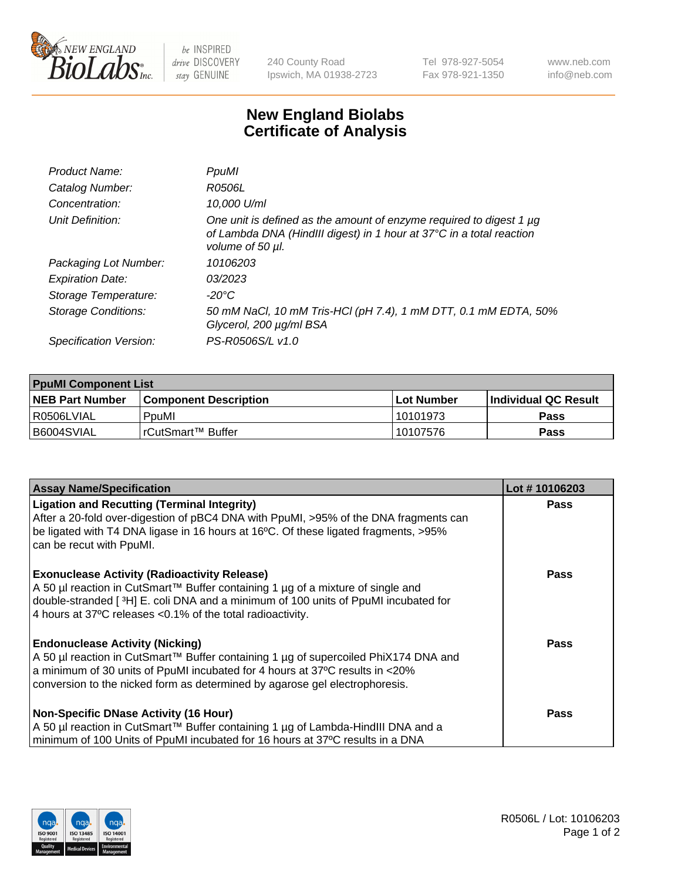

 $be$  INSPIRED drive DISCOVERY stay GENUINE

240 County Road Ipswich, MA 01938-2723 Tel 978-927-5054 Fax 978-921-1350 www.neb.com info@neb.com

## **New England Biolabs Certificate of Analysis**

| Product Name:           | PpuMI                                                                                                                                                           |
|-------------------------|-----------------------------------------------------------------------------------------------------------------------------------------------------------------|
| Catalog Number:         | <i>R0506L</i>                                                                                                                                                   |
| Concentration:          | 10,000 U/ml                                                                                                                                                     |
| Unit Definition:        | One unit is defined as the amount of enzyme required to digest 1 µg<br>of Lambda DNA (HindIII digest) in 1 hour at 37°C in a total reaction<br>volume of 50 µl. |
| Packaging Lot Number:   | 10106203                                                                                                                                                        |
| <b>Expiration Date:</b> | 03/2023                                                                                                                                                         |
| Storage Temperature:    | -20°C                                                                                                                                                           |
| Storage Conditions:     | 50 mM NaCl, 10 mM Tris-HCl (pH 7.4), 1 mM DTT, 0.1 mM EDTA, 50%<br>Glycerol, 200 µg/ml BSA                                                                      |
| Specification Version:  | PS-R0506S/L v1.0                                                                                                                                                |

| <b>PpuMI Component List</b> |                         |             |                       |  |  |
|-----------------------------|-------------------------|-------------|-----------------------|--|--|
| <b>NEB Part Number</b>      | l Component Description | ⊺Lot Number | ∣Individual QC Result |  |  |
| R0506LVIAL                  | PouMI                   | 10101973    | <b>Pass</b>           |  |  |
| B6004SVIAL                  | l rCutSmart™ Buffer_    | 10107576    | <b>Pass</b>           |  |  |

| <b>Assay Name/Specification</b>                                                                                                                                                                                                                                                               | Lot #10106203 |
|-----------------------------------------------------------------------------------------------------------------------------------------------------------------------------------------------------------------------------------------------------------------------------------------------|---------------|
| <b>Ligation and Recutting (Terminal Integrity)</b><br>After a 20-fold over-digestion of pBC4 DNA with PpuMI, >95% of the DNA fragments can<br>be ligated with T4 DNA ligase in 16 hours at 16°C. Of these ligated fragments, >95%<br>can be recut with PpuMI.                                 | <b>Pass</b>   |
| <b>Exonuclease Activity (Radioactivity Release)</b><br>  A 50 µl reaction in CutSmart™ Buffer containing 1 µg of a mixture of single and<br>double-stranded [3H] E. coli DNA and a minimum of 100 units of PpuMI incubated for<br>4 hours at 37°C releases < 0.1% of the total radioactivity. | Pass          |
| <b>Endonuclease Activity (Nicking)</b><br>A 50 µl reaction in CutSmart™ Buffer containing 1 µg of supercoiled PhiX174 DNA and<br>a minimum of 30 units of PpuMI incubated for 4 hours at 37°C results in <20%<br>conversion to the nicked form as determined by agarose gel electrophoresis.  | Pass          |
| <b>Non-Specific DNase Activity (16 Hour)</b><br>  A 50 µl reaction in CutSmart™ Buffer containing 1 µg of Lambda-HindIII DNA and a<br>minimum of 100 Units of PpuMI incubated for 16 hours at 37°C results in a DNA                                                                           | <b>Pass</b>   |